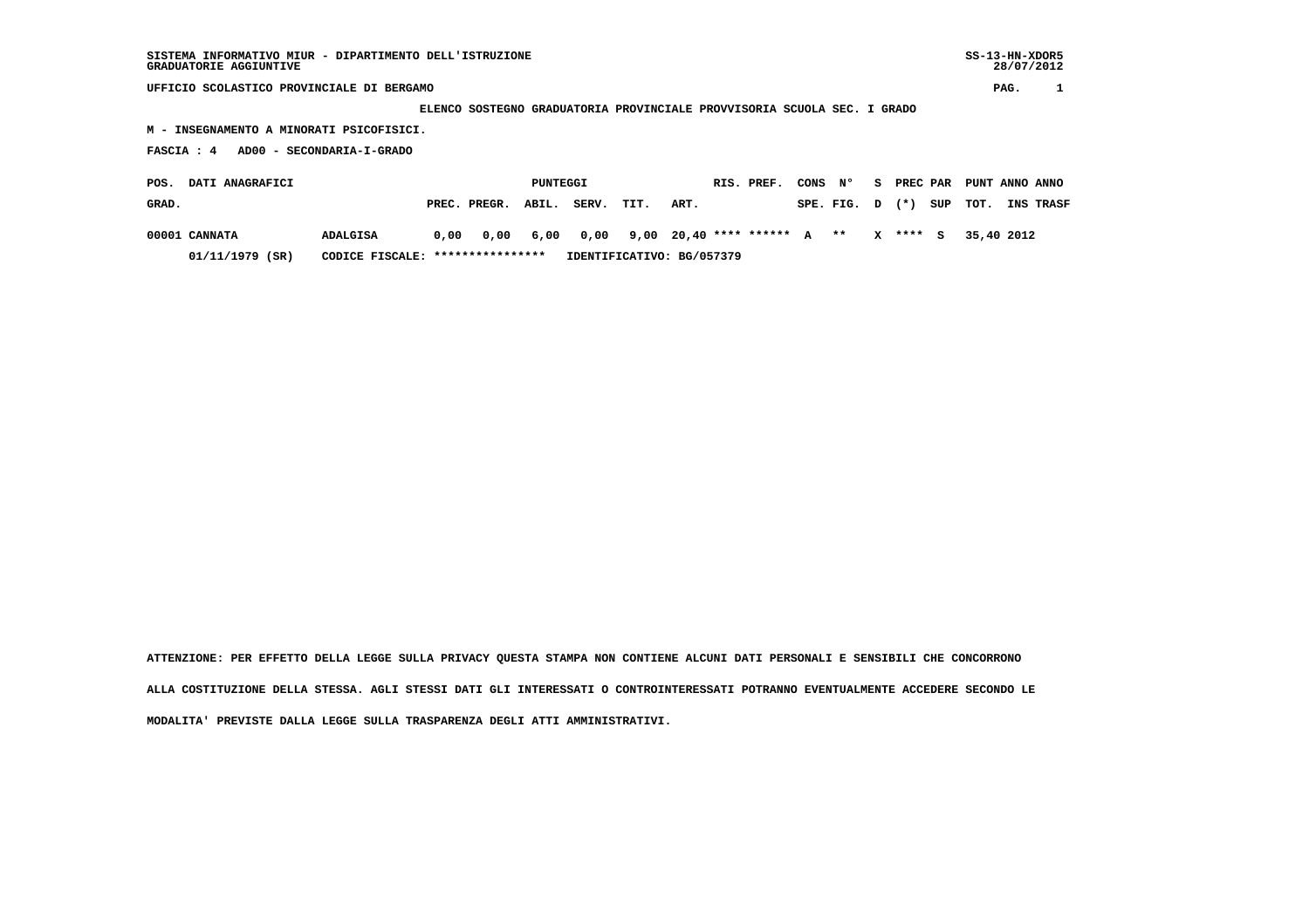28/07/2012

 **UFFICIO SCOLASTICO PROVINCIALE DI BERGAMO PAG. 1**

 **ELENCO SOSTEGNO GRADUATORIA PROVINCIALE PROVVISORIA SCUOLA SEC. I GRADO**

 **M - INSEGNAMENTO A MINORATI PSICOFISICI.**

 **FASCIA : 4 AD00 - SECONDARIA-I-GRADO**

| <b>DATI ANAGRAFICI</b><br>POS. |                                                     |                 |  | PUNTEGGI                                                    |  |            |                           |      |  | RIS. PREF. |  |          | CONS N° S PREC PAR PUNT ANNO ANNO  |  |
|--------------------------------|-----------------------------------------------------|-----------------|--|-------------------------------------------------------------|--|------------|---------------------------|------|--|------------|--|----------|------------------------------------|--|
| GRAD.                          |                                                     |                 |  | PREC. PREGR. ABIL.                                          |  | SERV. TIT. |                           | ART. |  |            |  |          | SPE. FIG. D (*) SUP TOT. INS TRASF |  |
|                                | 00001 CANNATA                                       | <b>ADALGISA</b> |  | $0,00$ $0,00$ $6,00$ $0,00$ $9,00$ $20,40$ **** ****** A ** |  |            |                           |      |  |            |  | X **** S | 35,40 2012                         |  |
|                                | CODICE FISCALE: ****************<br>01/11/1979 (SR) |                 |  |                                                             |  |            | IDENTIFICATIVO: BG/057379 |      |  |            |  |          |                                    |  |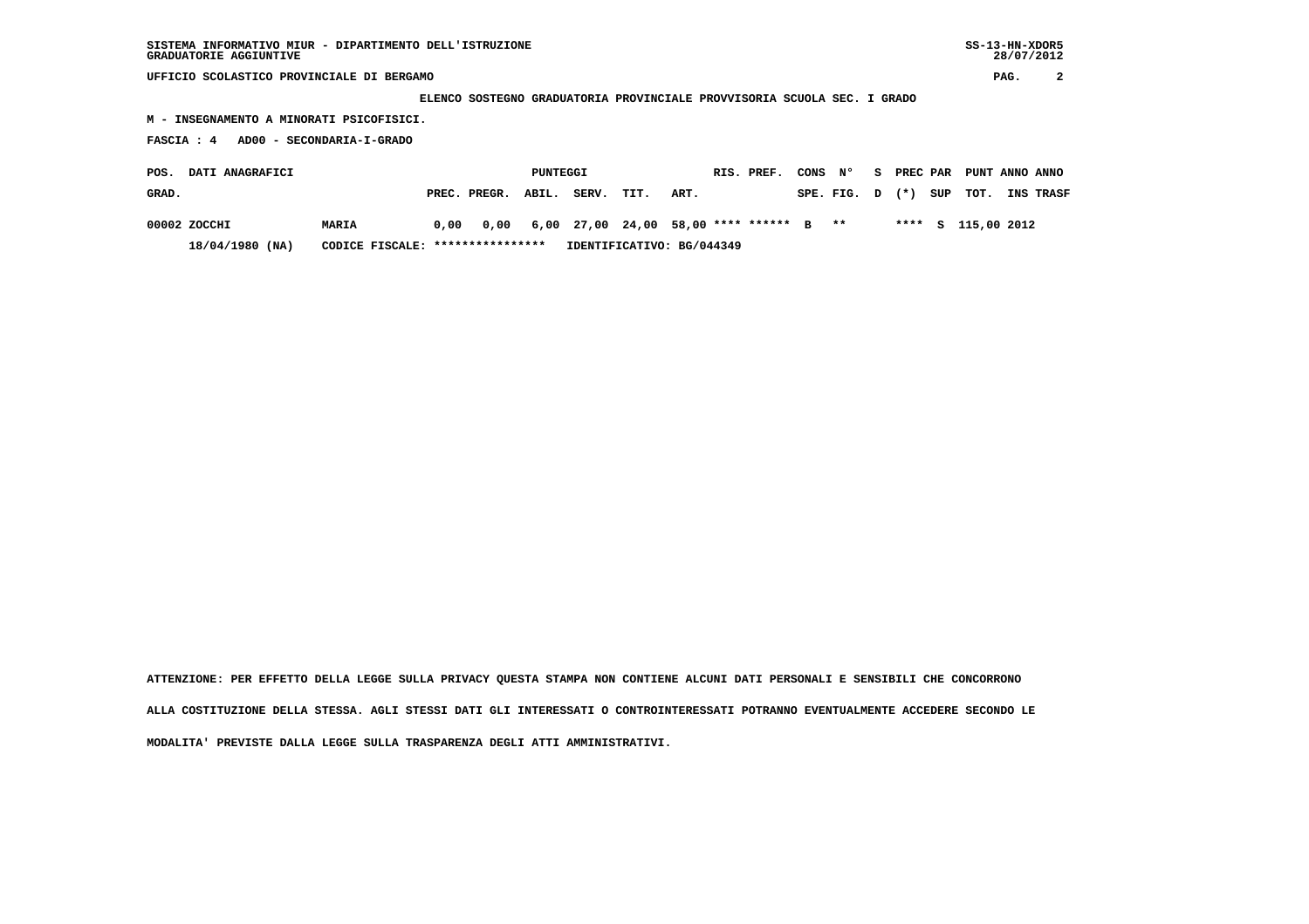**UFFICIO SCOLASTICO PROVINCIALE DI BERGAMO PAG. 2**

 **ELENCO SOSTEGNO GRADUATORIA PROVINCIALE PROVVISORIA SCUOLA SEC. I GRADO**

 **M - INSEGNAMENTO A MINORATI PSICOFISICI.**

 **FASCIA : 4 AD00 - SECONDARIA-I-GRADO**

| POS.<br><b>DATI ANAGRAFICI</b> |                                                       |       |  | PUNTEGGI                                                      |  |       |                           |      |  | RIS. PREF. | CONS N° |                     |  | S PREC PAR PUNT ANNO ANNO |                  |
|--------------------------------|-------------------------------------------------------|-------|--|---------------------------------------------------------------|--|-------|---------------------------|------|--|------------|---------|---------------------|--|---------------------------|------------------|
| GRAD.                          |                                                       |       |  | PREC. PREGR. ABIL.                                            |  | SERV. | TIT.                      | ART. |  |            |         | SPE. FIG. D (*) SUP |  | TOT.                      | <b>INS TRASF</b> |
|                                | 00002 ZOCCHI                                          | MARIA |  | $0,00$ $0,00$ $6,00$ $27,00$ $24,00$ $58,00$ **** ****** B ** |  |       |                           |      |  |            |         |                     |  | **** S 115,00 2012        |                  |
|                                | $18/04/1980$ (NA)<br>CODICE FISCALE: **************** |       |  |                                                               |  |       | IDENTIFICATIVO: BG/044349 |      |  |            |         |                     |  |                           |                  |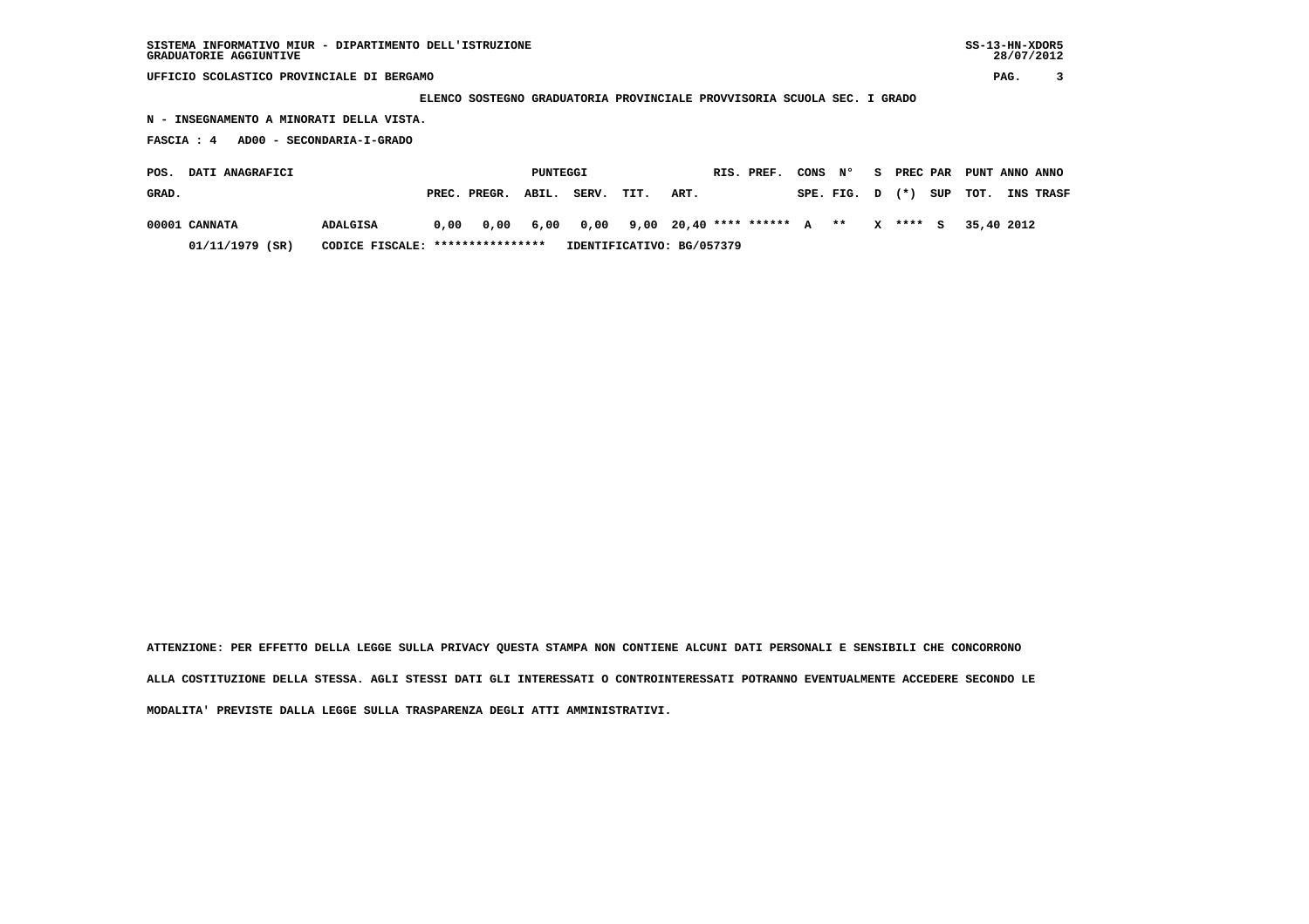**UFFICIO SCOLASTICO PROVINCIALE DI BERGAMO PAG. 3**

 **ELENCO SOSTEGNO GRADUATORIA PROVINCIALE PROVVISORIA SCUOLA SEC. I GRADO**

 **N - INSEGNAMENTO A MINORATI DELLA VISTA.**

 **FASCIA : 4 AD00 - SECONDARIA-I-GRADO**

| POS.  | <b>DATI ANAGRAFICI</b> |                                  |  |                                                                      |  | PUNTEGGI<br>RIS. PREF. |  |                           |  |  | CONS N° |  |  | S PREC PAR PUNT ANNO ANNO          |  |
|-------|------------------------|----------------------------------|--|----------------------------------------------------------------------|--|------------------------|--|---------------------------|--|--|---------|--|--|------------------------------------|--|
| GRAD. |                        |                                  |  | PREC. PREGR. ABIL.                                                   |  | SERV. TIT.             |  | ART.                      |  |  |         |  |  | SPE. FIG. D (*) SUP TOT. INS TRASF |  |
|       | 00001 CANNATA          | ADALGISA                         |  | $0.00$ $0.00$ $6.00$ $0.00$ $9.00$ $20.40$ **** ****** A ** X **** S |  |                        |  |                           |  |  |         |  |  | 35,40 2012                         |  |
|       | $01/11/1979$ (SR)      | CODICE FISCALE: **************** |  |                                                                      |  |                        |  | IDENTIFICATIVO: BG/057379 |  |  |         |  |  |                                    |  |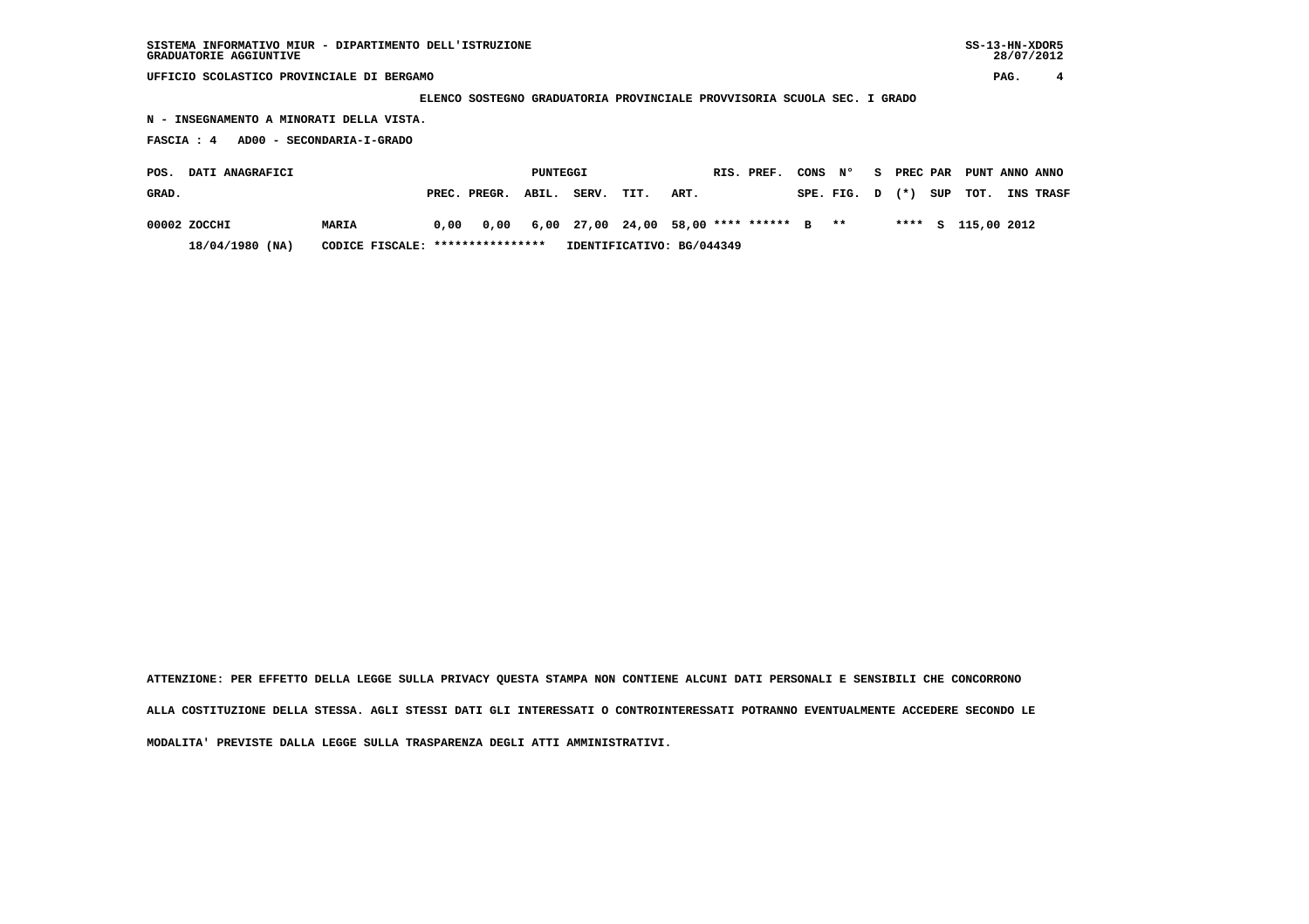**UFFICIO SCOLASTICO PROVINCIALE DI BERGAMO PAG. 4**

 **ELENCO SOSTEGNO GRADUATORIA PROVINCIALE PROVVISORIA SCUOLA SEC. I GRADO**

 **N - INSEGNAMENTO A MINORATI DELLA VISTA.**

 **FASCIA : 4 AD00 - SECONDARIA-I-GRADO**

| <b>DATI ANAGRAFICI</b><br>POS. |                                                       |       |  | PUNTEGGI                                                      |  |            |                           |      |  | RIS. PREF. | CONS N° |                      |  | S PREC PAR PUNT ANNO ANNO |                  |
|--------------------------------|-------------------------------------------------------|-------|--|---------------------------------------------------------------|--|------------|---------------------------|------|--|------------|---------|----------------------|--|---------------------------|------------------|
| GRAD.                          |                                                       |       |  | PREC. PREGR. ABIL.                                            |  | SERV. TIT. |                           | ART. |  |            |         | $SPE.FIG. D (*) SUP$ |  | TOT.                      | <b>INS TRASF</b> |
|                                | 00002 ZOCCHI                                          | MARIA |  | $0.00$ $0.00$ $6.00$ $27.00$ $24.00$ $58.00$ **** ****** B ** |  |            |                           |      |  |            |         |                      |  | **** S 115,00 2012        |                  |
|                                | CODICE FISCALE: ****************<br>$18/04/1980$ (NA) |       |  |                                                               |  |            | IDENTIFICATIVO: BG/044349 |      |  |            |         |                      |  |                           |                  |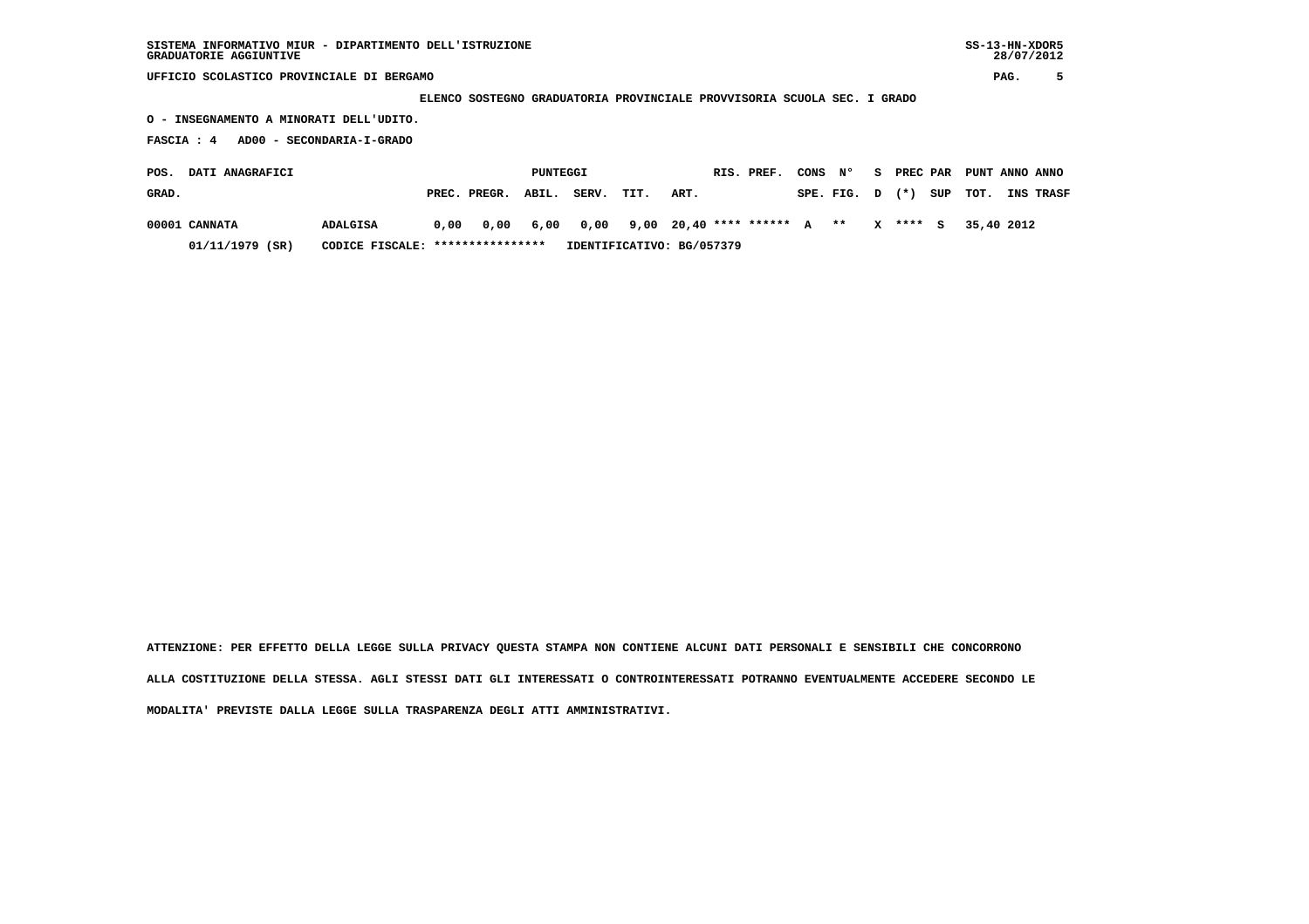**UFFICIO SCOLASTICO PROVINCIALE DI BERGAMO PAG. 5**

 **ELENCO SOSTEGNO GRADUATORIA PROVINCIALE PROVVISORIA SCUOLA SEC. I GRADO**

 **O - INSEGNAMENTO A MINORATI DELL'UDITO.**

 **FASCIA : 4 AD00 - SECONDARIA-I-GRADO**

| POS.  | <b>DATI ANAGRAFICI</b> | PUNTEGGI                         |                           |                                                             |  |            | RIS. PREF. |      |  |  |  | CONS N° |            | S PREC PAR PUNT ANNO ANNO |                  |
|-------|------------------------|----------------------------------|---------------------------|-------------------------------------------------------------|--|------------|------------|------|--|--|--|---------|------------|---------------------------|------------------|
| GRAD. |                        |                                  |                           | PREC. PREGR. ABIL.                                          |  | SERV. TIT. |            | ART. |  |  |  |         |            | $SPE.FIG. D (*) SUP TOT.$ | <b>INS TRASF</b> |
|       | 00001 CANNATA          | ADALGISA                         |                           | $0,00$ $0,00$ $6,00$ $0,00$ $9,00$ $20,40$ **** ****** A ** |  |            |            |      |  |  |  |         | $X$ **** S | 35,40 2012                |                  |
|       | $01/11/1979$ (SR)      | CODICE FISCALE: **************** | IDENTIFICATIVO: BG/057379 |                                                             |  |            |            |      |  |  |  |         |            |                           |                  |